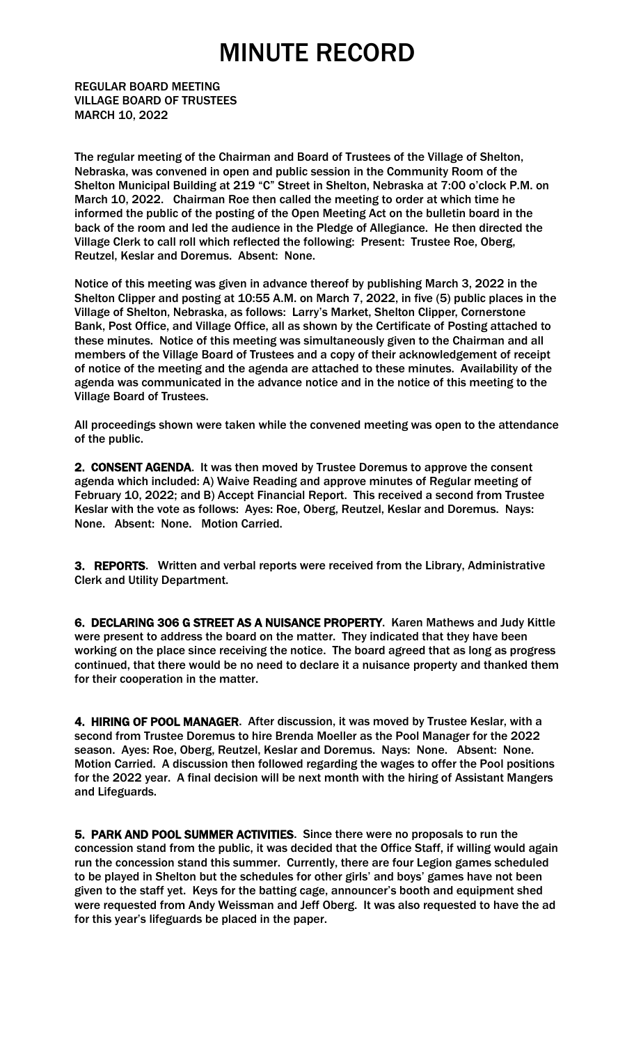## MINUTE RECORD

REGULAR BOARD MEETING VILLAGE BOARD OF TRUSTEES MARCH 10, 2022

The regular meeting of the Chairman and Board of Trustees of the Village of Shelton, Nebraska, was convened in open and public session in the Community Room of the Shelton Municipal Building at 219 "C" Street in Shelton, Nebraska at 7:00 o'clock P.M. on March 10, 2022. Chairman Roe then called the meeting to order at which time he informed the public of the posting of the Open Meeting Act on the bulletin board in the back of the room and led the audience in the Pledge of Allegiance. He then directed the Village Clerk to call roll which reflected the following: Present: Trustee Roe, Oberg, Reutzel, Keslar and Doremus. Absent: None.

Notice of this meeting was given in advance thereof by publishing March 3, 2022 in the Shelton Clipper and posting at 10:55 A.M. on March 7, 2022, in five (5) public places in the Village of Shelton, Nebraska, as follows: Larry's Market, Shelton Clipper, Cornerstone Bank, Post Office, and Village Office, all as shown by the Certificate of Posting attached to these minutes. Notice of this meeting was simultaneously given to the Chairman and all members of the Village Board of Trustees and a copy of their acknowledgement of receipt of notice of the meeting and the agenda are attached to these minutes. Availability of the agenda was communicated in the advance notice and in the notice of this meeting to the Village Board of Trustees.

All proceedings shown were taken while the convened meeting was open to the attendance of the public.

2. CONSENT AGENDA. It was then moved by Trustee Doremus to approve the consent agenda which included: A) Waive Reading and approve minutes of Regular meeting of February 10, 2022; and B) Accept Financial Report. This received a second from Trustee Keslar with the vote as follows: Ayes: Roe, Oberg, Reutzel, Keslar and Doremus. Nays: None. Absent: None. Motion Carried.

3. REPORTS. Written and verbal reports were received from the Library, Administrative Clerk and Utility Department.

6. DECLARING 306 G STREET AS A NUISANCE PROPERTY. Karen Mathews and Judy Kittle were present to address the board on the matter. They indicated that they have been working on the place since receiving the notice. The board agreed that as long as progress continued, that there would be no need to declare it a nuisance property and thanked them for their cooperation in the matter.

4. HIRING OF POOL MANAGER. After discussion, it was moved by Trustee Keslar, with a second from Trustee Doremus to hire Brenda Moeller as the Pool Manager for the 2022 season. Ayes: Roe, Oberg, Reutzel, Keslar and Doremus. Nays: None. Absent: None. Motion Carried. A discussion then followed regarding the wages to offer the Pool positions for the 2022 year. A final decision will be next month with the hiring of Assistant Mangers and Lifeguards.

5. PARK AND POOL SUMMER ACTIVITIES. Since there were no proposals to run the concession stand from the public, it was decided that the Office Staff, if willing would again run the concession stand this summer. Currently, there are four Legion games scheduled to be played in Shelton but the schedules for other girls' and boys' games have not been given to the staff yet. Keys for the batting cage, announcer's booth and equipment shed were requested from Andy Weissman and Jeff Oberg. It was also requested to have the ad for this year's lifeguards be placed in the paper.